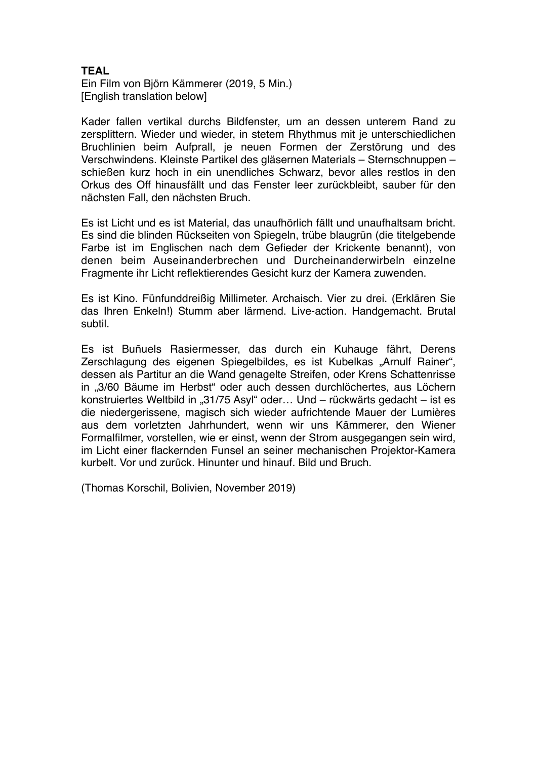## **TEAL**

Ein Film von Björn Kämmerer (2019, 5 Min.) [English translation below]

Kader fallen vertikal durchs Bildfenster, um an dessen unterem Rand zu zersplittern. Wieder und wieder, in stetem Rhythmus mit je unterschiedlichen Bruchlinien beim Aufprall, je neuen Formen der Zerstörung und des Verschwindens. Kleinste Partikel des gläsernen Materials – Sternschnuppen – schießen kurz hoch in ein unendliches Schwarz, bevor alles restlos in den Orkus des Off hinausfällt und das Fenster leer zurückbleibt, sauber für den nächsten Fall, den nächsten Bruch.

Es ist Licht und es ist Material, das unaufhörlich fällt und unaufhaltsam bricht. Es sind die blinden Rückseiten von Spiegeln, trübe blaugrün (die titelgebende Farbe ist im Englischen nach dem Gefieder der Krickente benannt), von denen beim Auseinanderbrechen und Durcheinanderwirbeln einzelne Fragmente ihr Licht reflektierendes Gesicht kurz der Kamera zuwenden.

Es ist Kino. Fünfunddreißig Millimeter. Archaisch. Vier zu drei. (Erklären Sie das Ihren Enkeln!) Stumm aber lärmend. Live-action. Handgemacht. Brutal subtil.

Es ist Buñuels Rasiermesser, das durch ein Kuhauge fährt, Derens Zerschlagung des eigenen Spiegelbildes, es ist Kubelkas "Arnulf Rainer", dessen als Partitur an die Wand genagelte Streifen, oder Krens Schattenrisse in "3/60 Bäume im Herbst" oder auch dessen durchlöchertes, aus Löchern konstruiertes Weltbild in "31/75 Asyl" oder... Und – rückwärts gedacht – ist es die niedergerissene, magisch sich wieder aufrichtende Mauer der Lumières aus dem vorletzten Jahrhundert, wenn wir uns Kämmerer, den Wiener Formalfilmer, vorstellen, wie er einst, wenn der Strom ausgegangen sein wird, im Licht einer flackernden Funsel an seiner mechanischen Projektor-Kamera kurbelt. Vor und zurück. Hinunter und hinauf. Bild und Bruch.

(Thomas Korschil, Bolivien, November 2019)